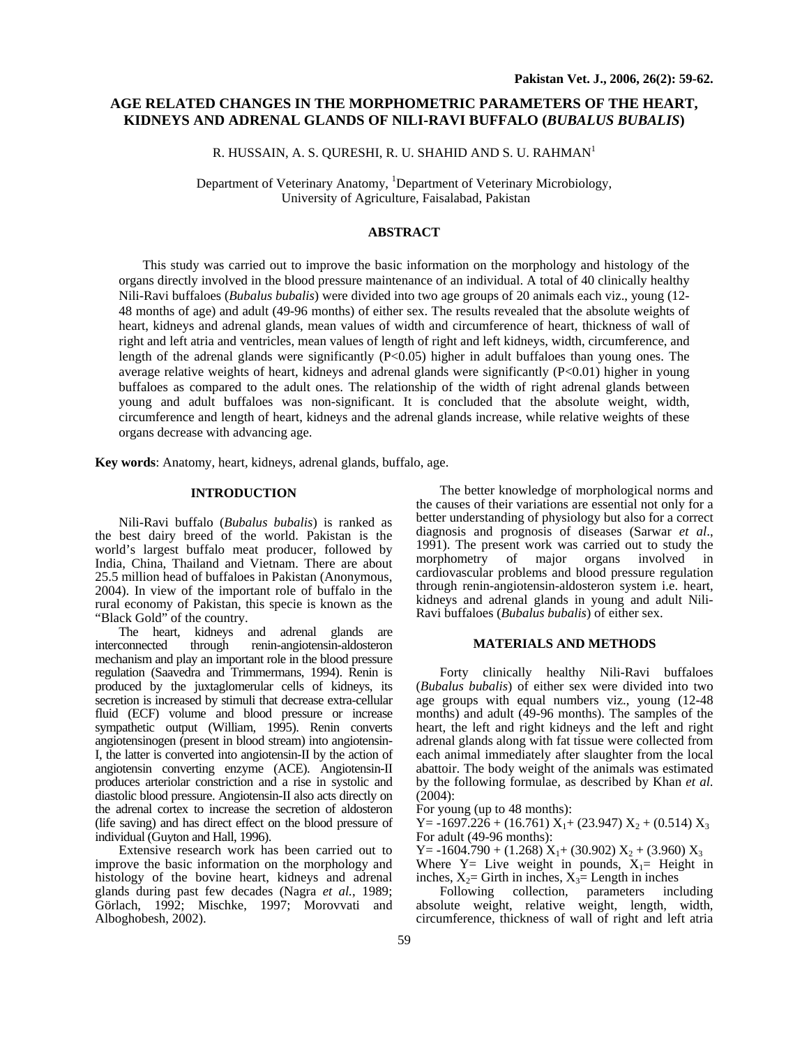# **AGE RELATED CHANGES IN THE MORPHOMETRIC PARAMETERS OF THE HEART, KIDNEYS AND ADRENAL GLANDS OF NILI-RAVI BUFFALO (***BUBALUS BUBALIS***)**

R. HUSSAIN, A. S. QURESHI, R. U. SHAHID AND S. U. RAHMAN<sup>1</sup>

Department of Veterinary Anatomy, <sup>1</sup>Department of Veterinary Microbiology, University of Agriculture, Faisalabad, Pakistan

## **ABSTRACT**

This study was carried out to improve the basic information on the morphology and histology of the organs directly involved in the blood pressure maintenance of an individual. A total of 40 clinically healthy Nili-Ravi buffaloes (*Bubalus bubalis*) were divided into two age groups of 20 animals each viz., young (12- 48 months of age) and adult (49-96 months) of either sex. The results revealed that the absolute weights of heart, kidneys and adrenal glands, mean values of width and circumference of heart, thickness of wall of right and left atria and ventricles, mean values of length of right and left kidneys, width, circumference, and length of the adrenal glands were significantly (P<0.05) higher in adult buffaloes than young ones. The average relative weights of heart, kidneys and adrenal glands were significantly  $(P<0.01)$  higher in young buffaloes as compared to the adult ones. The relationship of the width of right adrenal glands between young and adult buffaloes was non-significant. It is concluded that the absolute weight, width, circumference and length of heart, kidneys and the adrenal glands increase, while relative weights of these organs decrease with advancing age.

**Key words**: Anatomy, heart, kidneys, adrenal glands, buffalo, age.

## **INTRODUCTION**

Nili-Ravi buffalo (*Bubalus bubalis*) is ranked as the best dairy breed of the world. Pakistan is the world's largest buffalo meat producer, followed by India, China, Thailand and Vietnam. There are about 25.5 million head of buffaloes in Pakistan (Anonymous, 2004). In view of the important role of buffalo in the rural economy of Pakistan, this specie is known as the "Black Gold" of the country.

The heart, kidneys and adrenal glands are interconnected through renin-angiotensin-aldosteron mechanism and play an important role in the blood pressure regulation (Saavedra and Trimmermans, 1994). Renin is produced by the juxtaglomerular cells of kidneys, its secretion is increased by stimuli that decrease extra-cellular fluid (ECF) volume and blood pressure or increase sympathetic output (William, 1995). Renin converts angiotensinogen (present in blood stream) into angiotensin-I, the latter is converted into angiotensin-II by the action of angiotensin converting enzyme (ACE). Angiotensin-II produces arteriolar constriction and a rise in systolic and diastolic blood pressure. Angiotensin-II also acts directly on the adrenal cortex to increase the secretion of aldosteron (life saving) and has direct effect on the blood pressure of individual (Guyton and Hall, 1996).

Extensive research work has been carried out to improve the basic information on the morphology and histology of the bovine heart, kidneys and adrenal glands during past few decades (Nagra *et al.*, 1989; Görlach, 1992; Mischke, 1997; Morovvati and Alboghobesh, 2002).

The better knowledge of morphological norms and the causes of their variations are essential not only for a better understanding of physiology but also for a correct diagnosis and prognosis of diseases (Sarwar *et al*., 1991). The present work was carried out to study the morphometry of major organs involved in cardiovascular problems and blood pressure regulation through renin-angiotensin-aldosteron system i.e. heart, kidneys and adrenal glands in young and adult Nili-Ravi buffaloes (*Bubalus bubalis*) of either sex.

### **MATERIALS AND METHODS**

 Forty clinically healthy Nili-Ravi buffaloes (*Bubalus bubalis*) of either sex were divided into two age groups with equal numbers viz., young (12-48 months) and adult (49-96 months). The samples of the heart, the left and right kidneys and the left and right adrenal glands along with fat tissue were collected from each animal immediately after slaughter from the local abattoir. The body weight of the animals was estimated by the following formulae, as described by Khan *et al*. (2004):

For young (up to 48 months):

 $Y = -1697.226 + (16.761) X_1 + (23.947) X_2 + (0.514) X_3$ For adult (49-96 months):

Y =  $-1604.790 + (1.268) X_1 + (30.902) X_2 + (3.960) X_3$ 

Where  $Y=$  Live weight in pounds,  $X_1=$  Height in inches,  $X_2$ = Girth in inches,  $X_3$ = Length in inches

Following collection, parameters including absolute weight, relative weight, length, width, circumference, thickness of wall of right and left atria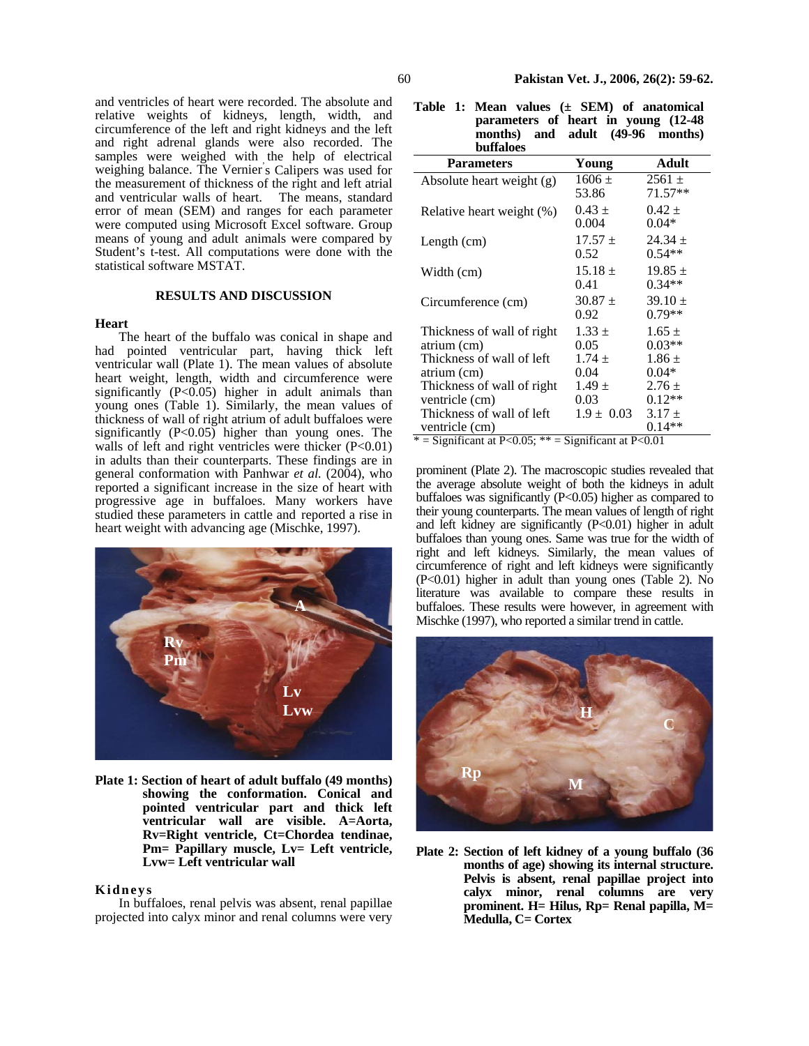and ventricles of heart were recorded. The absolute and relative weights of kidneys, length, width, and circumference of the left and right kidneys and the left and right adrenal glands were also recorded. The samples were weighed with the help of electrical weighing balance. The Vernier' s Calipers was used for the measurement of thickness of the right and left atrial and ventricular walls of heart. The means, standard error of mean (SEM) and ranges for each parameter were computed using Microsoft Excel software. Group means of young and adult animals were compared by Student's t-test. All computations were done with the statistical software MSTAT.

#### **RESULTS AND DISCUSSION**

#### **Heart**

The heart of the buffalo was conical in shape and had pointed ventricular part, having thick left ventricular wall (Plate 1). The mean values of absolute heart weight, length, width and circumference were significantly  $(P<0.05)$  higher in adult animals than young ones (Table 1). Similarly, the mean values of thickness of wall of right atrium of adult buffaloes were significantly  $(P<0.05)$  higher than young ones. The walls of left and right ventricles were thicker (P<0.01) in adults than their counterparts. These findings are in general conformation with Panhwar *et al.* (2004), who reported a significant increase in the size of heart with progressive age in buffaloes. Many workers have studied these parameters in cattle and reported a rise in heart weight with advancing age (Mischke, 1997).



**Plate 1: Section of heart of adult buffalo (49 months) showing the conformation. Conical and pointed ventricular part and thick left ventricular wall are visible. A=Aorta, Rv=Right ventricle, Ct=Chordea tendinae, Pm= Papillary muscle, Lv= Left ventricle, Lvw= Left ventricular wall** 

### **Kidneys**

In buffaloes, renal pelvis was absent, renal papillae projected into calyx minor and renal columns were very

|  | Table 1: Mean values $(\pm$ SEM) of anatomical |
|--|------------------------------------------------|
|  | parameters of heart in young (12-48)           |
|  | months) and adult (49-96 months)               |
|  | <b>buffaloes</b>                               |

| vunavos                    |                   |                         |
|----------------------------|-------------------|-------------------------|
| <b>Parameters</b>          | Young             | Adult                   |
| Absolute heart weight (g)  | $1606 \pm$        | $2561 \pm$<br>$71.57**$ |
|                            | 53.86<br>$0.43 +$ | $0.42 +$                |
| Relative heart weight (%)  | 0.004             | $0.04*$                 |
| Length $(cm)$              | $17.57 +$         | $24.34 \pm$             |
|                            | 0.52              | $0.54**$                |
| Width (cm)                 | $15.18 +$         | $19.85 \pm$             |
|                            | 0.41              | $0.34**$                |
| Circumference (cm)         | $30.87 +$         | $39.10 \pm$             |
|                            | 0.92              | $0.79**$                |
| Thickness of wall of right | $1.33 \pm$        | $1.65 \pm$              |
| atrium (cm)                | 0.05              | $0.03**$                |
| Thickness of wall of left  | $1.74 \pm$        | $1.86 \pm$              |
| atrium (cm)                | 0.04              | $0.04*$                 |
| Thickness of wall of right | $1.49 \pm$        | $2.76 \pm$              |
| ventricle (cm)             | 0.03              | $0.12**$                |
| Thickness of wall of left  | $1.9 \pm 0.03$    | $3.17 \pm$              |
| ventricle (cm)             |                   | $0.14**$                |

 $*$  = Significant at P<0.05; \*\* = Significant at P<0.01

prominent (Plate 2). The macroscopic studies revealed that the average absolute weight of both the kidneys in adult buffaloes was significantly (P<0.05) higher as compared to their young counterparts. The mean values of length of right and left kidney are significantly (P<0.01) higher in adult buffaloes than young ones. Same was true for the width of right and left kidneys. Similarly, the mean values of circumference of right and left kidneys were significantly (P<0.01) higher in adult than young ones (Table 2). No literature was available to compare these results in buffaloes. These results were however, in agreement with Mischke (1997), who reported a similar trend in cattle.



**Plate 2: Section of left kidney of a young buffalo (36 months of age) showing its internal structure. Pelvis is absent, renal papillae project into calyx minor, renal columns are very prominent. H= Hilus, Rp= Renal papilla, M= Medulla, C= Cortex**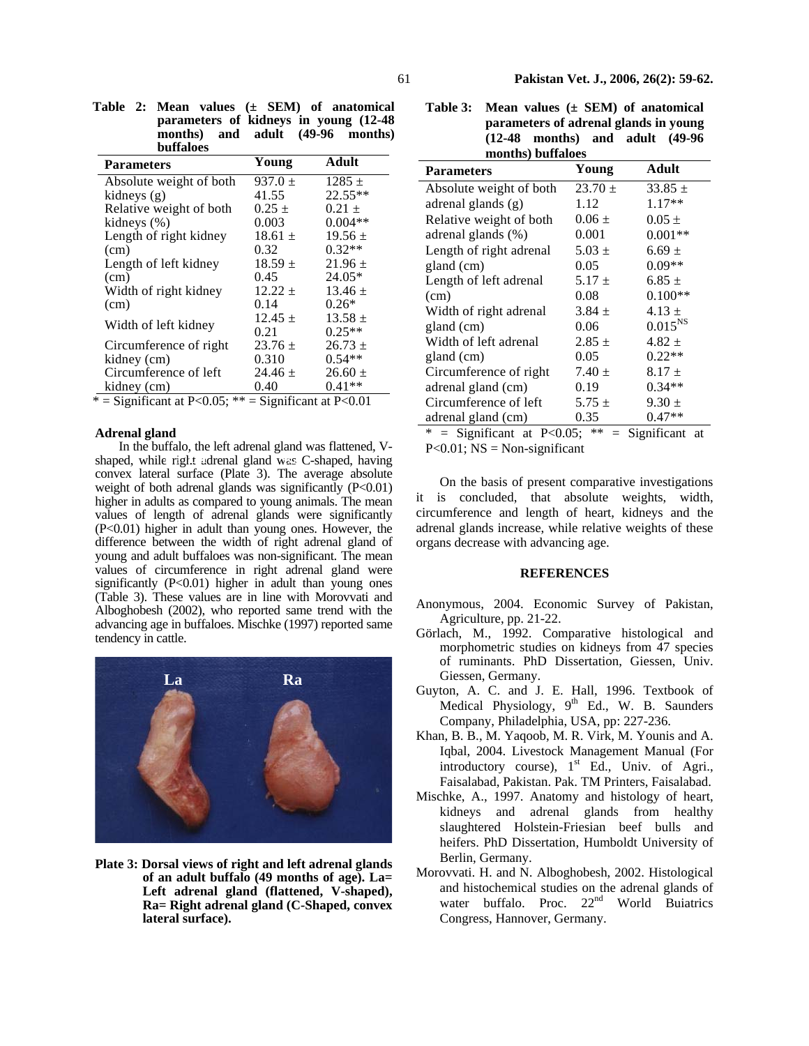| $\mu$ arameters of manegs in goung (12 To<br>months)<br><b>buffaloes</b> | and adult                            | (49-96<br>months)     |
|--------------------------------------------------------------------------|--------------------------------------|-----------------------|
| <b>Parameters</b>                                                        | Young                                | Adult                 |
| Absolute weight of both                                                  | $937.0 \pm$                          | $1285 \pm$            |
| kidneys (g)                                                              | 41.55                                | $22.55**$             |
| Relative weight of both                                                  | $0.25 \pm$                           | $0.21 \pm$            |
| kidneys (%)                                                              | 0.003                                | $0.004**$             |
| Length of right kidney                                                   | $18.61 +$                            | $19.56 +$             |
| (cm)                                                                     | 0.32                                 | $0.32**$              |
| Length of left kidney                                                    | $18.59 \pm$                          | $21.96 \pm$           |
| (cm)                                                                     | 0.45                                 | $24.05*$              |
| Width of right kidney                                                    | $12.22 \pm$                          | $13.46 \pm$           |
| (cm)                                                                     | 0.14                                 | $0.26*$               |
| Width of left kidney                                                     | $12.45 \pm$<br>$\bigcap$ $\bigcap$ 1 | $13.58 \pm$<br>0.2544 |

0.21

 $23.76 \pm$ 0.310

 $24.46 \pm$ 0.40

 $0.25**$ 

 $26.73 \pm$  $0.54**$ 

 $26.60 \pm$ 0.41\*\*

**Table 2: Mean values (± SEM) of anatomical parameters of kidneys in young (12-48** 

|  |  | $*$ = Significant at P<0.05; $**$ = Significant at P<0.01 |
|--|--|-----------------------------------------------------------|
|--|--|-----------------------------------------------------------|

#### **Adrenal gland**

kidney (cm)

kidney (cm)

Circumference of right

Circumference of left

In the buffalo, the left adrenal gland was flattened, V-In the buffalo, the left adrenal gland was flattened,  $V - P < 0.01$ ;  $NS = Non-significant$  shaped, while right adrenal gland was C-shaped, having convex lateral surface (Plate 3). The average absolute weight of both adrenal glands was significantly  $(P<0.01)$ higher in adults as compared to young animals. The mean values of length of adrenal glands were significantly (P<0.01) higher in adult than young ones. However, the difference between the width of right adrenal gland of young and adult buffaloes was non-significant. The mean values of circumference in right adrenal gland were significantly  $(P<0.01)$  higher in adult than young ones (Table 3). These values are in line with Morovvati and Alboghobesh (2002), who reported same trend with the advancing age in buffaloes. Mischke (1997) reported same tendency in cattle.



**Plate 3: Dorsal views of right and left adrenal glands of an adult buffalo (49 months of age). La= Left adrenal gland (flattened, V-shaped), Ra= Right adrenal gland (C-Shaped, convex lateral surface).** 

**Table 3: Mean values (± SEM) of anatomical parameters of adrenal glands in young (12-48 months) and adult (49-96 months) buffaloes** 

| months) buildives                                          |             |              |  |  |  |
|------------------------------------------------------------|-------------|--------------|--|--|--|
| <b>Parameters</b>                                          | Young       | Adult        |  |  |  |
| Absolute weight of both                                    | $23.70 \pm$ | $33.85 \pm$  |  |  |  |
| adrenal glands (g)                                         | 1.12        | $1.17**$     |  |  |  |
| Relative weight of both                                    | $0.06 \pm$  | $0.05 \pm$   |  |  |  |
| adrenal glands (%)                                         | 0.001       | $0.001**$    |  |  |  |
| Length of right adrenal                                    | $5.03 \pm$  | $6.69 \pm$   |  |  |  |
| gland (cm)                                                 | 0.05        | $0.09**$     |  |  |  |
| Length of left adrenal                                     | $5.17 \pm$  | $6.85 \pm$   |  |  |  |
| (cm)                                                       | 0.08        | $0.100**$    |  |  |  |
| Width of right adrenal                                     | $3.84 \pm$  | 4.13 $\pm$   |  |  |  |
| gland (cm)                                                 | 0.06        | $0.015^{NS}$ |  |  |  |
| Width of left adrenal                                      | $2.85 \pm$  | $4.82 \pm$   |  |  |  |
| gland (cm)                                                 | 0.05        | $0.22**$     |  |  |  |
| Circumference of right                                     | $7.40 \pm$  | $8.17 \pm$   |  |  |  |
| adrenal gland (cm)                                         | 0.19        | $0.34**$     |  |  |  |
| Circumference of left                                      | $5.75 \pm$  | $9.30 \pm$   |  |  |  |
| adrenal gland (cm)                                         | 0.35        | $0.47**$     |  |  |  |
| $*$ - Significant at $D \neq 0.05$ , $**$ - Significant at |             |              |  |  |  |

\* = Significant at P<0.05; \*\* = Significant at

On the basis of present comparative investigations it is concluded, that absolute weights, width, circumference and length of heart, kidneys and the adrenal glands increase, while relative weights of these organs decrease with advancing age.

#### **REFERENCES**

- Anonymous, 2004. Economic Survey of Pakistan, Agriculture, pp. 21-22.
- Görlach, M., 1992. Comparative histological and morphometric studies on kidneys from 47 species of ruminants. PhD Dissertation, Giessen, Univ. Giessen, Germany.
- Guyton, A. C. and J. E. Hall, 1996. Textbook of Medical Physiology,  $9<sup>th</sup>$  Ed., W. B. Saunders Company, Philadelphia, USA, pp: 227-236.
- Khan, B. B., M. Yaqoob, M. R. Virk, M. Younis and A. Iqbal, 2004. Livestock Management Manual (For introductory course), 1<sup>st</sup> Ed., Univ. of Agri., Faisalabad, Pakistan. Pak. TM Printers, Faisalabad.
- Mischke, A., 1997. Anatomy and histology of heart, kidneys and adrenal glands from healthy slaughtered Holstein-Friesian beef bulls and heifers. PhD Dissertation, Humboldt University of Berlin, Germany.
- Morovvati. H. and N. Alboghobesh, 2002. Histological and histochemical studies on the adrenal glands of water buffalo. Proc. 22<sup>nd</sup> World Buiatrics Congress, Hannover, Germany.